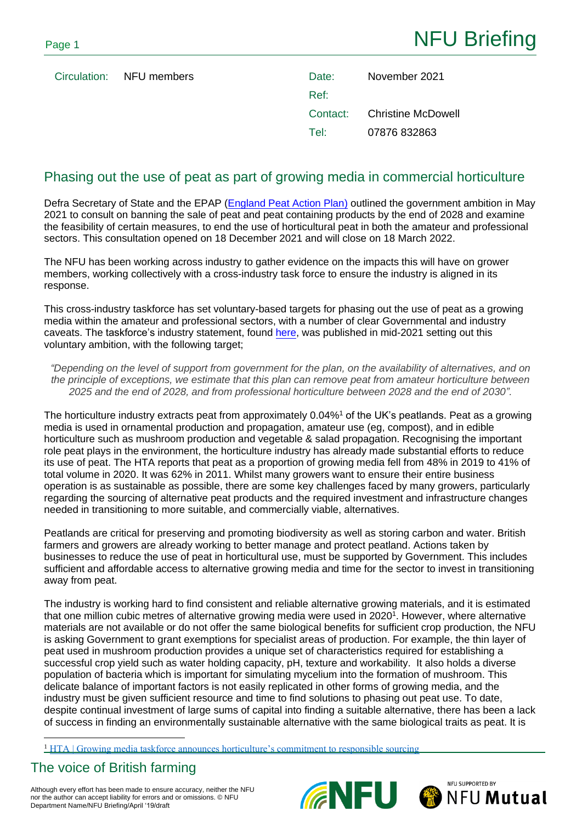Circulation: NFU members

| Date:    | November 2021      |
|----------|--------------------|
| Ref:     |                    |
| Contact: | Christine McDowell |
| Tel:     | 07876 832863       |

# Phasing out the use of peat as part of growing media in commercial horticulture

Defra Secretary of State and the EPAP [\(England Peat Action Plan\)](https://assets.publishing.service.gov.uk/government/uploads/system/uploads/attachment_data/file/987859/england-peat-action-plan.pdf) outlined the government ambition in May 2021 to consult on banning the sale of peat and peat containing products by the end of 2028 and examine the feasibility of certain measures, to end the use of horticultural peat in both the amateur and professional sectors. This consultation opened on 18 December 2021 and will close on 18 March 2022.

The NFU has been working across industry to gather evidence on the impacts this will have on grower members, working collectively with a cross-industry task force to ensure the industry is aligned in its response.

This cross-industry taskforce has set voluntary-based targets for phasing out the use of peat as a growing media within the amateur and professional sectors, with a number of clear Governmental and industry caveats. The taskforce's industry statement, found [here,](https://hta.org.uk/news-current-issues/news-current/news/growing-media-taskforce-announces.html) was published in mid-2021 setting out this voluntary ambition, with the following target;

*"Depending on the level of support from government for the plan, on the availability of alternatives, and on the principle of exceptions, we estimate that this plan can remove peat from amateur horticulture between 2025 and the end of 2028, and from professional horticulture between 2028 and the end of 2030".*

The horticulture industry extracts peat from approximately 0.04%<sup>1</sup> of the UK's peatlands. Peat as a growing media is used in ornamental production and propagation, amateur use (eg, compost), and in edible horticulture such as mushroom production and vegetable & salad propagation. Recognising the important role peat plays in the environment, the horticulture industry has already made substantial efforts to reduce its use of peat. The HTA reports that peat as a proportion of growing media fell from 48% in 2019 to 41% of total volume in 2020. It was 62% in 2011. Whilst many growers want to ensure their entire business operation is as sustainable as possible, there are some key challenges faced by many growers, particularly regarding the sourcing of alternative peat products and the required investment and infrastructure changes needed in transitioning to more suitable, and commercially viable, alternatives.

Peatlands are critical for preserving and promoting biodiversity as well as storing carbon and water. British farmers and growers are already working to better manage and protect peatland. Actions taken by businesses to reduce the use of peat in horticultural use, must be supported by Government. This includes sufficient and affordable access to alternative growing media and time for the sector to invest in transitioning away from peat.

The industry is working hard to find consistent and reliable alternative growing materials, and it is estimated that one million cubic metres of alternative growing media were used in 2020<sup>1</sup>. However, where alternative materials are not available or do not offer the same biological benefits for sufficient crop production, the NFU is asking Government to grant exemptions for specialist areas of production. For example, the thin layer of peat used in mushroom production provides a unique set of characteristics required for establishing a successful crop yield such as water holding capacity, pH, texture and workability. It also holds a diverse population of bacteria which is important for simulating mycelium into the formation of mushroom. This delicate balance of important factors is not easily replicated in other forms of growing media, and the industry must be given sufficient resource and time to find solutions to phasing out peat use. To date, despite continual investment of large sums of capital into finding a suitable alternative, there has been a lack of success in finding an environmentally sustainable alternative with the same biological traits as peat. It is

<sup>1</sup> [HTA | Growing media taskforce announces horticulture's commitment to responsible sourcing](https://hta.org.uk/news-current-issues/news-current/news/growing-media-taskforce-announces.html)

# The voice of British farming

Although every effort has been made to ensure accuracy, neither the NFU nor the author can accept liability for errors and or omissions. © NFU Department Name/NFU Briefing/April '19/draft